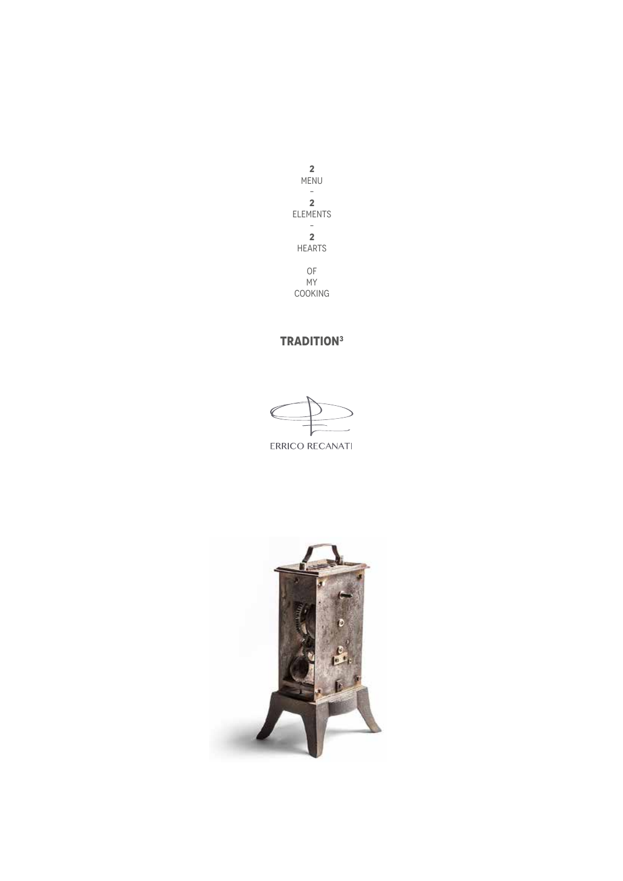

ERRICO RECANATI

# **TRADITION3**

**2** MENU – **2** ELEMENTS – **2** HEARTS OF MY COOKING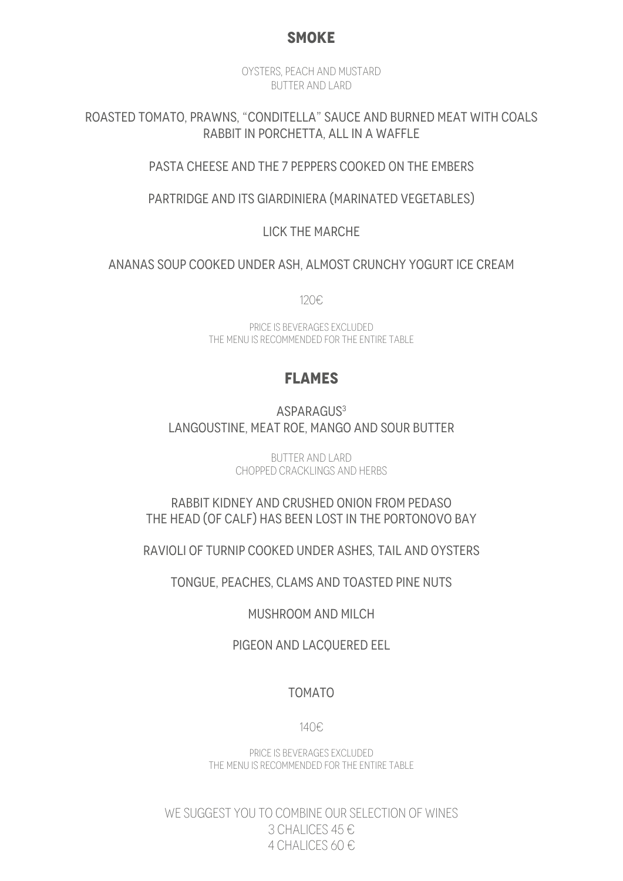## **SMOKE**

OYSTERS, PEACH AND MUSTARD BUTTER AND LARD

ROASTED TOMATO, PRAWNS, "CONDITELLA" SAUCE AND BURNED MEAT WITH COALS RABBIT IN PORCHETTA, ALL IN A WAFFLE

#### PASTA CHEESE AND THE 7 PEPPERS COOKED ON THE EMBERS

PARTRIDGE AND ITS GIARDINIERA (MARINATED VEGETABLES)

LICK THE MARCHE

ANANAS SOUP COOKED UNDER ASH, ALMOST CRUNCHY YOGURT ICE CREAM

120€

PRICE IS BEVERAGES EXCLUDED THE MENU IS RECOMMENDED FOR THE ENTIRE TABLE

## **FLAMES**

ASPARAGUS<sup>3</sup> LANGOUSTINE, MEAT ROE, MANGO AND SOUR BUTTER

> BUTTER AND LARD CHOPPED CRACKLINGS AND HERBS

RABBIT KIDNEY AND CRUSHED ONION FROM PEDASO THE HEAD (OF CALF) HAS BEEN LOST IN THE PORTONOVO BAY

RAVIOLI OF TURNIP COOKED UNDER ASHES, TAIL AND OYSTERS

TONGUE, PEACHES, CLAMS AND TOASTED PINE NUTS

MUSHROOM AND MILCH

PIGEON AND LACQUERED EEL

#### TOMATO

140€

PRICE IS BEVERAGES EXCLUDED THE MENU IS RECOMMENDED FOR THE ENTIRE TABLE

WE SUGGEST YOU TO COMBINE OUR SELECTION OF WINES 3 CHALICES 45 € 4 CHALICES 60 $E$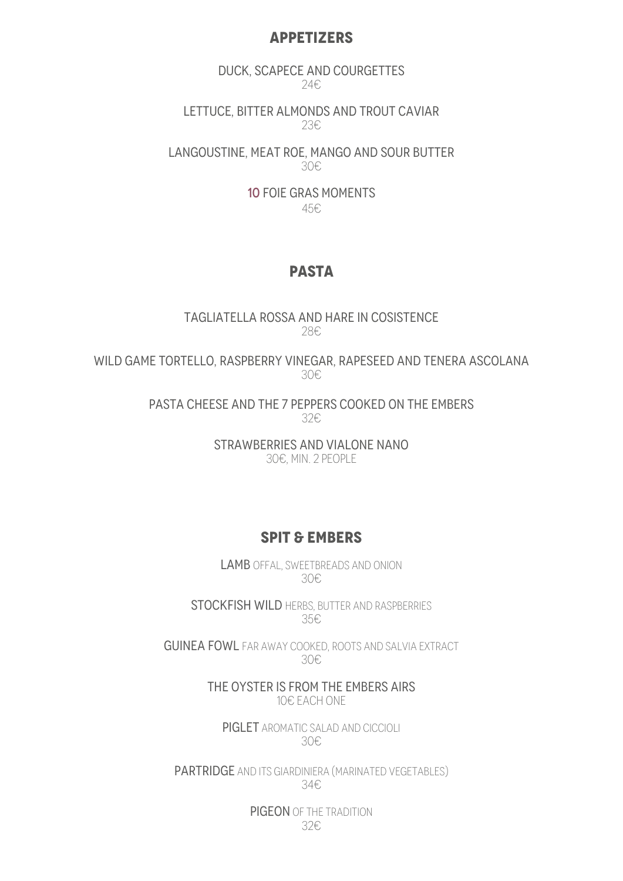#### **APPETIZERS**

DUCK, SCAPECE AND COURGETTES 24€

LETTUCE, BITTER ALMONDS AND TROUT CAVIAR 23€

LANGOUSTINE, MEAT ROE, MANGO AND SOUR BUTTER 30€

> 10 FOIE GRAS MOMENTS 45€

## **PASTA**

TAGLIATELLA ROSSA AND HARE IN COSISTENCE 28€

WILD GAME TORTELLO, RASPBERRY VINEGAR, RAPESEED AND TENERA ASCOLANA 30€

> PASTA CHEESE AND THE 7 PEPPERS COOKED ON THE EMBERS 32€

> > STRAWBERRIES AND VIALONE NANO 30€, MIN. 2 PEOPLE

### **SPIT & EMBERS**

LAMB OFFAL, SWEETBREADS AND ONION 30€

STOCKFISH WILD HERBS, BUTTER AND RASPBERRIES 35€

GUINEA FOWL FAR AWAY COOKED, ROOTS AND SALVIA EXTRACT 30€

> THE OYSTER IS FROM THE EMBERS AIRS 10€ EACH ONE

PIGLET AROMATIC SALAD AND CICCIOLI 30€

PARTRIDGE AND ITS GIARDINIERA (MARINATED VEGETABLES) 34€

> PIGEON OF THE TRADITION 32€